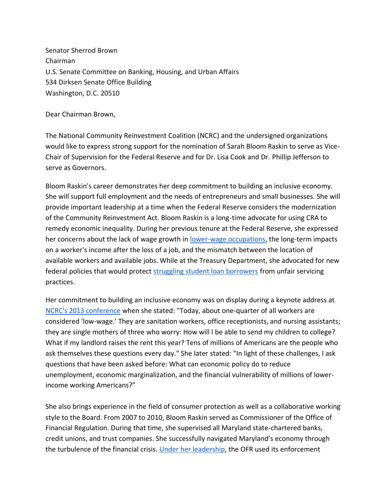Senator Sherrod Brown Chairman U.S. Senate Committee on Banking, Housing, and Urban Affairs 534 Dirksen Senate Office Building Washington, D.C. 20510

Dear Chairman Brown,

The National Community Reinvestment Coalition (NCRC) and the undersigned organizations would like to express strong support for the nomination of Sarah Bloom Raskin to serve as Vice-Chair of Supervision for the Federal Reserve and for Dr. Lisa Cook and Dr. Phillip Jefferson to serve as Governors.

Bloom Raskin's career demonstrates her deep commitment to building an inclusive economy. She will support full employment and the needs of entrepreneurs and small businesses. She will provide important leadership at a time when the Federal Reserve considers the modernization of the Community Reinvestment Act. Bloom Raskin is a long-time advocate for using CRA to remedy economic inequality. During her previous tenure at the Federal Reserve, she expressed her concerns about the lack of wage growth in [lower-wage occupations,](https://www.federalreserve.gov/newsevents/speech/raskin20130322.htm) the long-term impacts on a worker's income after the loss of a job, and the mismatch between the location of available workers and available jobs. While at the Treasury Department, she advocated for new federal policies that would protect [struggling student loan borrowers](https://www.capitalgazette.com/bs-ed-op-0312-student-loans-20190311-story.html) from unfair servicing practices.

Her commitment to building an inclusive economy was on display during a keynote address a[t](https://www.federalreserve.gov/newsevents/speech/raskin20130322.htm) [NCRC's 2013 conference](https://www.federalreserve.gov/newsevents/speech/raskin20130322.htm) when she stated: "Today, about one-quarter of all workers are considered 'low-wage.' They are sanitation workers, office receptionists, and nursing assistants; they are single mothers of three who worry: How will I be able to send my children to college? What if my landlord raises the rent this year? Tens of millions of Americans are the people who ask themselves these questions every day." She later stated: "In light of these challenges, I ask questions that have been asked before: What can economic policy do to reduce unemployment, economic marginalization, and the financial vulnerability of millions of lowerincome working Americans?"

She also brings experience in the field of consumer protection as well as a collaborative working style to the Board. From 2007 to 2010, Bloom Raskin served as Commissioner of the Office of Financial Regulation. During that time, she supervised all Maryland state-chartered banks, credit unions, and trust companies. She successfully navigated Maryland's economy through the turbulence of the financial crisis. Under [her leadership,](http://archives-financialservices.house.gov/media/file/hearings/111/md_-_bloom_raskin.pdf) the OFR used its enforcement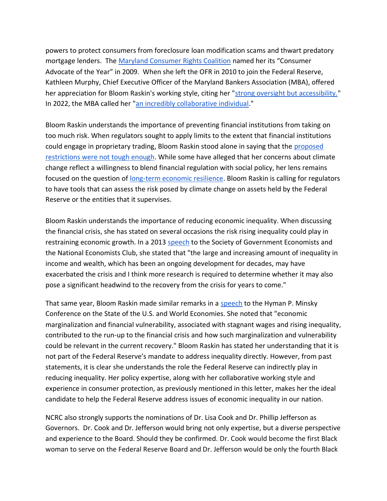powers to protect consumers from foreclosure loan modification scams and thwart predatory mortgage lenders. The [Maryland Consumer Rights Coalition](https://www.baltimoresun.com/bs-mtblog-2009-09-maryland_consumer_rights_coali-story.html) named her its "Consumer Advocate of the Year" in 2009. When she left the OFR in 2010 to join the Federal Reserve, Kathleen Murphy, Chief Executive Officer of the Maryland Bankers Association (MBA), offered her appreciation for Bloom Raskin's working style, citing her ["strong oversight but accessibility."](https://www.baltimoresun.com/business/bs-bz-sarah-raskin-fed-20100429-story.html) In 2022, the MBA called her ["an incredibly collaborative individual.](https://www.reuters.com/article/usa-fed-raskin-idCAKBN2JO05V)"

Bloom Raskin understands the importance of preventing financial institutions from taking on too much risk. When regulators sought to apply limits to the extent that financial institutions could engage in proprietary trading, Bloom Raskin stood alone in saying that the [proposed](https://bettermarkets.org/newsroom/volcker-rule-critic-raskin-seen-voice-consumers/)  [restrictions were not tough enough.](https://bettermarkets.org/newsroom/volcker-rule-critic-raskin-seen-voice-consumers/) While some have alleged that her concerns about climate change reflect a willingness to blend financial regulation with social policy, her lens remains focused on the question of [long-term economic resilience.](https://thehill.com/blogs/congress-blog/politics/590739-conservatives-are-outraged-that-sarah-bloom-raskin-actually) Bloom Raskin is calling for regulators to have tools that can assess the risk posed by climate change on assets held by the Federal Reserve or the entities that it supervises.

Bloom Raskin understands the importance of reducing economic inequality. When discussing the financial crisis, she has stated on several occasions the risk rising inequality could play in restraining economic growth. In a 2013 [speech](https://www.federalreserve.gov/newsevents/speech/raskin20130516a.htm) to the Society of Government Economists and the National Economists Club, she stated that "the large and increasing amount of inequality in income and wealth, which has been an ongoing development for decades, may have exacerbated the crisis and I think more research is required to determine whether it may also pose a significant headwind to the recovery from the crisis for years to come."

That same year, Bloom Raskin made similar remarks in [a](https://www.federalreserve.gov/newsevents/speech/raskin20130418a.htm) [speech](https://www.federalreserve.gov/newsevents/speech/raskin20130418a.htm) to the Hyman P. Minsky Conference on the State of the U.S. and World Economies. She noted that "economic marginalization and financial vulnerability, associated with stagnant wages and rising inequality, contributed to the run-up to the financial crisis and how such marginalization and vulnerability could be relevant in the current recovery." Bloom Raskin has stated her understanding that it is not part of the Federal Reserve's mandate to address inequality directly. However, from past statements, it is clear she understands the role the Federal Reserve can indirectly play in reducing inequality. Her policy expertise, along with her collaborative working style and experience in consumer protection, as previously mentioned in this letter, makes her the ideal candidate to help the Federal Reserve address issues of economic inequality in our nation.

NCRC also strongly supports the nominations of Dr. Lisa Cook and Dr. Phillip Jefferson as Governors. Dr. Cook and Dr. Jefferson would bring not only expertise, but a diverse perspective and experience to the Board. Should they be confirmed. Dr. Cook would become the first Black woman to serve on the Federal Reserve Board and Dr. Jefferson would be only the fourth Black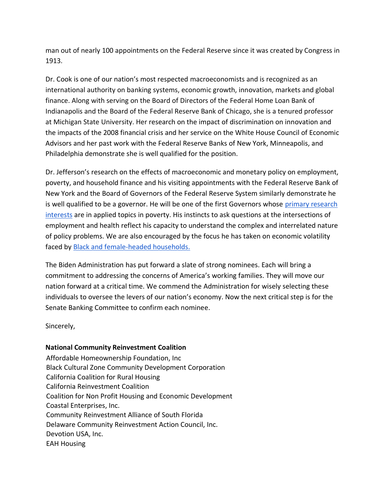man out of nearly 100 appointments on the Federal Reserve since it was created by Congress in 1913.

Dr. Cook is one of our nation's most respected macroeconomists and is recognized as an international authority on banking systems, economic growth, innovation, markets and global finance. Along with serving on the Board of Directors of the Federal Home Loan Bank of Indianapolis and the Board of the Federal Reserve Bank of Chicago, she is a tenured professor at Michigan State University. Her research on the impact of discrimination on innovation and the impacts of the 2008 financial crisis and her service on the White House Council of Economic Advisors and her past work with the Federal Reserve Banks of New York, Minneapolis, and Philadelphia demonstrate she is well qualified for the position.

Dr. Jefferson's research on the effects of macroeconomic and monetary policy on employment, poverty, and household finance and his visiting appointments with the Federal Reserve Bank of New York and the Board of Governors of the Federal Reserve System similarly demonstrate he is well qualified to be a governor. He will be one of the first Governors whose [primary research](https://www.minneapolisfed.org/article/2018/interview-with-philip-jefferson)  [interests](https://www.minneapolisfed.org/article/2018/interview-with-philip-jefferson) are in applied topics in poverty. His instincts to ask questions at the intersections of employment and health reflect his capacity to understand the complex and interrelated nature of policy problems. We are also encouraged by the focus he has taken on economic volatility faced by [Black and female-headed households.](https://www.aeaweb.org/articles?id=10.1257/aer.98.2.392)

The Biden Administration has put forward a slate of strong nominees. Each will bring a commitment to addressing the concerns of America's working families. They will move our nation forward at a critical time. We commend the Administration for wisely selecting these individuals to oversee the levers of our nation's economy. Now the next critical step is for the Senate Banking Committee to confirm each nominee.

Sincerely,

## **National Community Reinvestment Coalition**

Affordable Homeownership Foundation, Inc Black Cultural Zone Community Development Corporation California Coalition for Rural Housing California Reinvestment Coalition Coalition for Non Profit Housing and Economic Development Coastal Enterprises, Inc. Community Reinvestment Alliance of South Florida Delaware Community Reinvestment Action Council, Inc. Devotion USA, Inc. EAH Housing